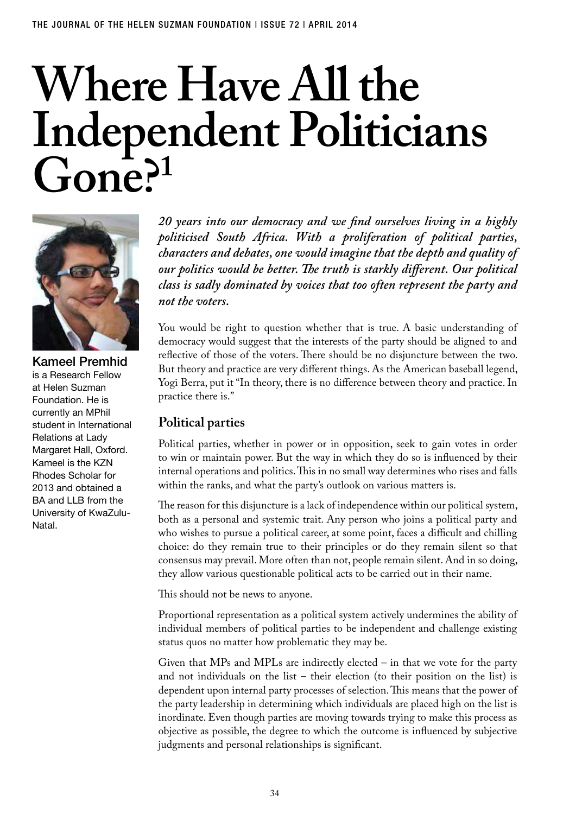# **Where Have All the Independent Politicians**   $\int$ rone<sup>21</sup>



Kameel Premhid is a Research Fellow at Helen Suzman Foundation. He is currently an MPhil student in International Relations at Lady Margaret Hall, Oxford. Kameel is the KZN Rhodes Scholar for 2013 and obtained a BA and LLB from the University of KwaZulu-Natal.

*20 years into our democracy and we find ourselves living in a highly politicised South Africa. With a proliferation of political parties, characters and debates, one would imagine that the depth and quality of our politics would be better. The truth is starkly different. Our political class is sadly dominated by voices that too often represent the party and not the voters.* 

You would be right to question whether that is true. A basic understanding of democracy would suggest that the interests of the party should be aligned to and reflective of those of the voters. There should be no disjuncture between the two. But theory and practice are very different things. As the American baseball legend, Yogi Berra, put it "In theory, there is no difference between theory and practice. In practice there is."

#### **Political parties**

Political parties, whether in power or in opposition, seek to gain votes in order to win or maintain power. But the way in which they do so is influenced by their internal operations and politics. This in no small way determines who rises and falls within the ranks, and what the party's outlook on various matters is.

The reason for this disjuncture is a lack of independence within our political system, both as a personal and systemic trait. Any person who joins a political party and who wishes to pursue a political career, at some point, faces a difficult and chilling choice: do they remain true to their principles or do they remain silent so that consensus may prevail. More often than not, people remain silent. And in so doing, they allow various questionable political acts to be carried out in their name.

This should not be news to anyone.

Proportional representation as a political system actively undermines the ability of individual members of political parties to be independent and challenge existing status quos no matter how problematic they may be.

Given that MPs and MPLs are indirectly elected – in that we vote for the party and not individuals on the list – their election (to their position on the list) is dependent upon internal party processes of selection. This means that the power of the party leadership in determining which individuals are placed high on the list is inordinate. Even though parties are moving towards trying to make this process as objective as possible, the degree to which the outcome is influenced by subjective judgments and personal relationships is significant.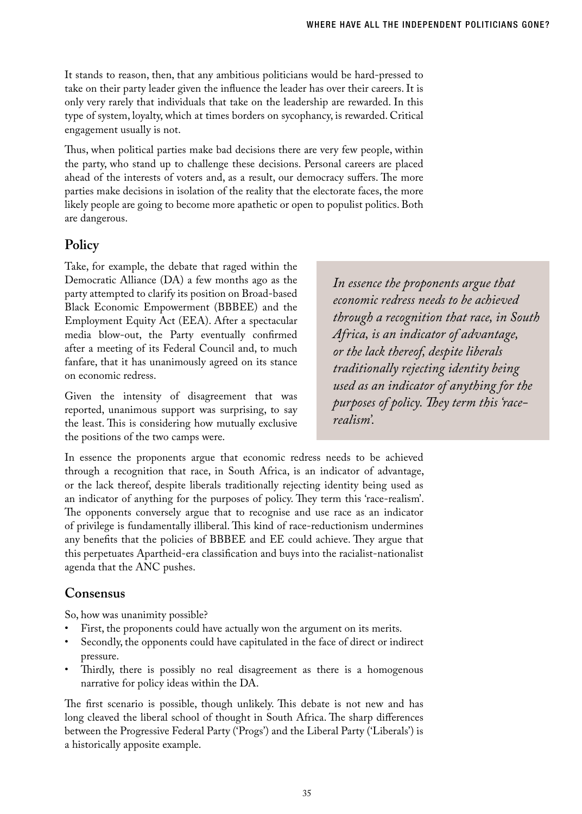It stands to reason, then, that any ambitious politicians would be hard-pressed to take on their party leader given the influence the leader has over their careers. It is only very rarely that individuals that take on the leadership are rewarded. In this type of system, loyalty, which at times borders on sycophancy, is rewarded. Critical engagement usually is not.

Thus, when political parties make bad decisions there are very few people, within the party, who stand up to challenge these decisions. Personal careers are placed ahead of the interests of voters and, as a result, our democracy suffers. The more parties make decisions in isolation of the reality that the electorate faces, the more likely people are going to become more apathetic or open to populist politics. Both are dangerous.

### **Policy**

Take, for example, the debate that raged within the Democratic Alliance (DA) a few months ago as the party attempted to clarify its position on Broad-based Black Economic Empowerment (BBBEE) and the Employment Equity Act (EEA). After a spectacular media blow-out, the Party eventually confirmed after a meeting of its Federal Council and, to much fanfare, that it has unanimously agreed on its stance on economic redress.

Given the intensity of disagreement that was reported, unanimous support was surprising, to say the least. This is considering how mutually exclusive the positions of the two camps were.

*In essence the proponents argue that economic redress needs to be achieved through a recognition that race, in South Africa, is an indicator of advantage, or the lack thereof, despite liberals traditionally rejecting identity being used as an indicator of anything for the purposes of policy. They term this 'racerealism'.*

In essence the proponents argue that economic redress needs to be achieved through a recognition that race, in South Africa, is an indicator of advantage, or the lack thereof, despite liberals traditionally rejecting identity being used as an indicator of anything for the purposes of policy. They term this 'race-realism'. The opponents conversely argue that to recognise and use race as an indicator of privilege is fundamentally illiberal. This kind of race-reductionism undermines any benefits that the policies of BBBEE and EE could achieve. They argue that this perpetuates Apartheid-era classification and buys into the racialist-nationalist agenda that the ANC pushes.

# **Consensus**

So, how was unanimity possible?

- First, the proponents could have actually won the argument on its merits.
- Secondly, the opponents could have capitulated in the face of direct or indirect pressure.
- Thirdly, there is possibly no real disagreement as there is a homogenous narrative for policy ideas within the DA.

The first scenario is possible, though unlikely. This debate is not new and has long cleaved the liberal school of thought in South Africa. The sharp differences between the Progressive Federal Party ('Progs') and the Liberal Party ('Liberals') is a historically apposite example.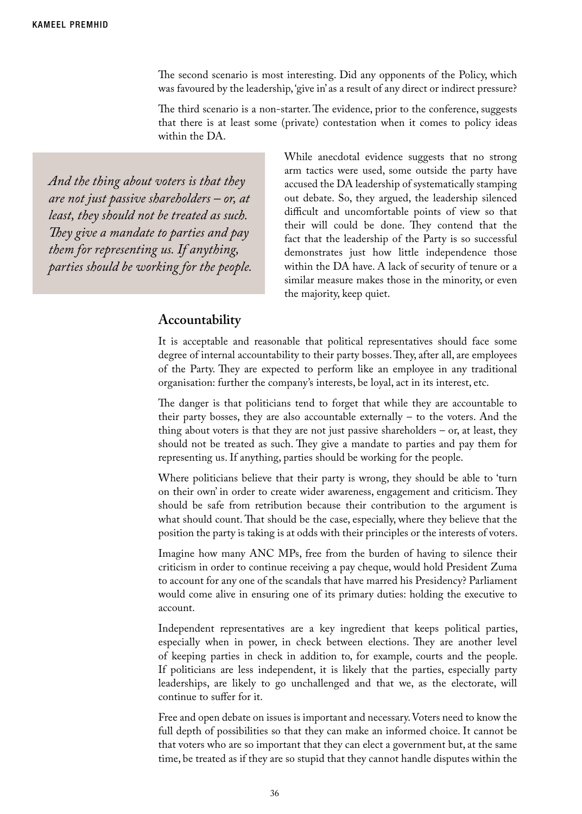The second scenario is most interesting. Did any opponents of the Policy, which was favoured by the leadership, 'give in' as a result of any direct or indirect pressure?

The third scenario is a non-starter. The evidence, prior to the conference, suggests that there is at least some (private) contestation when it comes to policy ideas within the DA.

*And the thing about voters is that they are not just passive shareholders – or, at least, they should not be treated as such. They give a mandate to parties and pay them for representing us. If anything, parties should be working for the people.* While anecdotal evidence suggests that no strong arm tactics were used, some outside the party have accused the DA leadership of systematically stamping out debate. So, they argued, the leadership silenced difficult and uncomfortable points of view so that their will could be done. They contend that the fact that the leadership of the Party is so successful demonstrates just how little independence those within the DA have. A lack of security of tenure or a similar measure makes those in the minority, or even the majority, keep quiet.

#### **Accountability**

It is acceptable and reasonable that political representatives should face some degree of internal accountability to their party bosses. They, after all, are employees of the Party. They are expected to perform like an employee in any traditional organisation: further the company's interests, be loyal, act in its interest, etc.

The danger is that politicians tend to forget that while they are accountable to their party bosses, they are also accountable externally – to the voters. And the thing about voters is that they are not just passive shareholders – or, at least, they should not be treated as such. They give a mandate to parties and pay them for representing us. If anything, parties should be working for the people.

Where politicians believe that their party is wrong, they should be able to 'turn on their own' in order to create wider awareness, engagement and criticism. They should be safe from retribution because their contribution to the argument is what should count. That should be the case, especially, where they believe that the position the party is taking is at odds with their principles or the interests of voters.

Imagine how many ANC MPs, free from the burden of having to silence their criticism in order to continue receiving a pay cheque, would hold President Zuma to account for any one of the scandals that have marred his Presidency? Parliament would come alive in ensuring one of its primary duties: holding the executive to account.

Independent representatives are a key ingredient that keeps political parties, especially when in power, in check between elections. They are another level of keeping parties in check in addition to, for example, courts and the people. If politicians are less independent, it is likely that the parties, especially party leaderships, are likely to go unchallenged and that we, as the electorate, will continue to suffer for it.

Free and open debate on issues is important and necessary. Voters need to know the full depth of possibilities so that they can make an informed choice. It cannot be that voters who are so important that they can elect a government but, at the same time, be treated as if they are so stupid that they cannot handle disputes within the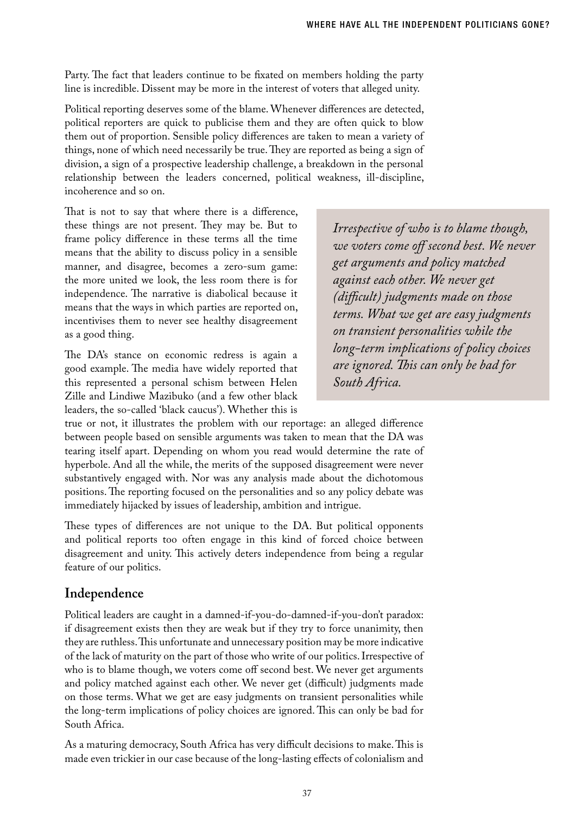Party. The fact that leaders continue to be fixated on members holding the party line is incredible. Dissent may be more in the interest of voters that alleged unity.

Political reporting deserves some of the blame. Whenever differences are detected, political reporters are quick to publicise them and they are often quick to blow them out of proportion. Sensible policy differences are taken to mean a variety of things, none of which need necessarily be true. They are reported as being a sign of division, a sign of a prospective leadership challenge, a breakdown in the personal relationship between the leaders concerned, political weakness, ill-discipline, incoherence and so on.

That is not to say that where there is a difference, these things are not present. They may be. But to frame policy difference in these terms all the time means that the ability to discuss policy in a sensible manner, and disagree, becomes a zero-sum game: the more united we look, the less room there is for independence. The narrative is diabolical because it means that the ways in which parties are reported on, incentivises them to never see healthy disagreement as a good thing.

The DA's stance on economic redress is again a good example. The media have widely reported that this represented a personal schism between Helen Zille and Lindiwe Mazibuko (and a few other black leaders, the so-called 'black caucus'). Whether this is

*Irrespective of who is to blame though, we voters come off second best. We never get arguments and policy matched against each other. We never get (difficult) judgments made on those terms. What we get are easy judgments on transient personalities while the long-term implications of policy choices are ignored. This can only be bad for South Africa.*

true or not, it illustrates the problem with our reportage: an alleged difference between people based on sensible arguments was taken to mean that the DA was tearing itself apart. Depending on whom you read would determine the rate of hyperbole. And all the while, the merits of the supposed disagreement were never substantively engaged with. Nor was any analysis made about the dichotomous positions. The reporting focused on the personalities and so any policy debate was immediately hijacked by issues of leadership, ambition and intrigue.

These types of differences are not unique to the DA. But political opponents and political reports too often engage in this kind of forced choice between disagreement and unity. This actively deters independence from being a regular feature of our politics.

# **Independence**

Political leaders are caught in a damned-if-you-do-damned-if-you-don't paradox: if disagreement exists then they are weak but if they try to force unanimity, then they are ruthless. This unfortunate and unnecessary position may be more indicative of the lack of maturity on the part of those who write of our politics. Irrespective of who is to blame though, we voters come off second best. We never get arguments and policy matched against each other. We never get (difficult) judgments made on those terms. What we get are easy judgments on transient personalities while the long-term implications of policy choices are ignored. This can only be bad for South Africa.

As a maturing democracy, South Africa has very difficult decisions to make. This is made even trickier in our case because of the long-lasting effects of colonialism and